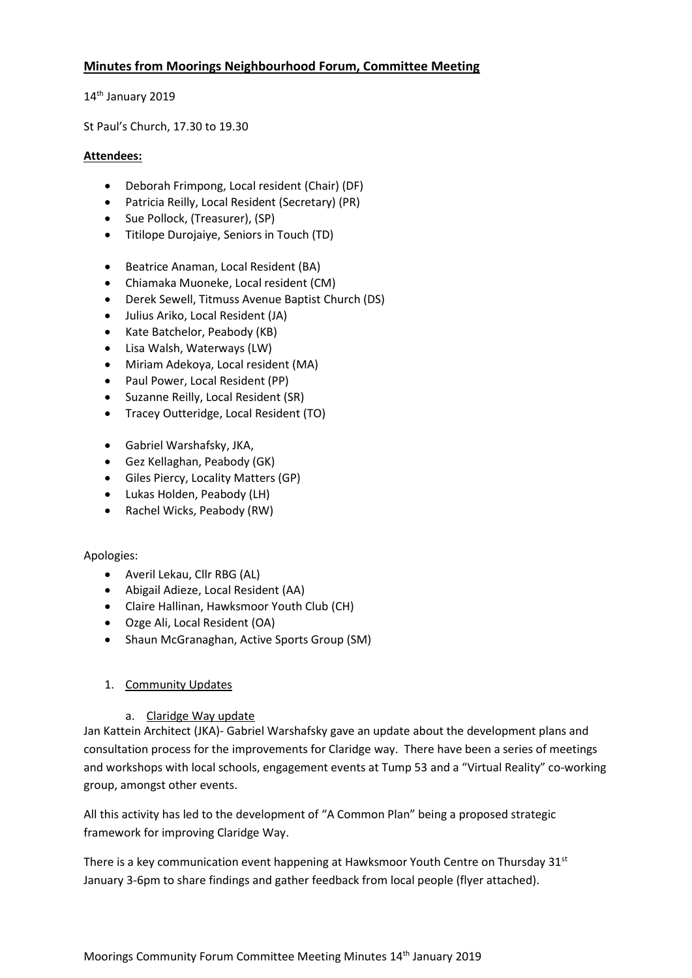# **Minutes from Moorings Neighbourhood Forum, Committee Meeting**

14<sup>th</sup> January 2019

St Paul's Church, 17.30 to 19.30

## **Attendees:**

- Deborah Frimpong, Local resident (Chair) (DF)
- Patricia Reilly, Local Resident (Secretary) (PR)
- Sue Pollock, (Treasurer), (SP)
- Titilope Durojaiye, Seniors in Touch (TD)
- Beatrice Anaman, Local Resident (BA)
- Chiamaka Muoneke, Local resident (CM)
- Derek Sewell, Titmuss Avenue Baptist Church (DS)
- Julius Ariko, Local Resident (JA)
- Kate Batchelor, Peabody (KB)
- Lisa Walsh, Waterways (LW)
- Miriam Adekoya, Local resident (MA)
- Paul Power, Local Resident (PP)
- Suzanne Reilly, Local Resident (SR)
- Tracey Outteridge, Local Resident (TO)
- Gabriel Warshafsky, JKA,
- Gez Kellaghan, Peabody (GK)
- Giles Piercy, Locality Matters (GP)
- Lukas Holden, Peabody (LH)
- Rachel Wicks, Peabody (RW)

#### Apologies:

- Averil Lekau, Cllr RBG (AL)
- Abigail Adieze, Local Resident (AA)
- Claire Hallinan, Hawksmoor Youth Club (CH)
- Ozge Ali, Local Resident (OA)
- Shaun McGranaghan, Active Sports Group (SM)

## 1. Community Updates

## a. Claridge Way update

Jan Kattein Architect (JKA)- Gabriel Warshafsky gave an update about the development plans and consultation process for the improvements for Claridge way. There have been a series of meetings and workshops with local schools, engagement events at Tump 53 and a "Virtual Reality" co-working group, amongst other events.

All this activity has led to the development of "A Common Plan" being a proposed strategic framework for improving Claridge Way.

There is a key communication event happening at Hawksmoor Youth Centre on Thursday  $31<sup>st</sup>$ January 3-6pm to share findings and gather feedback from local people (flyer attached).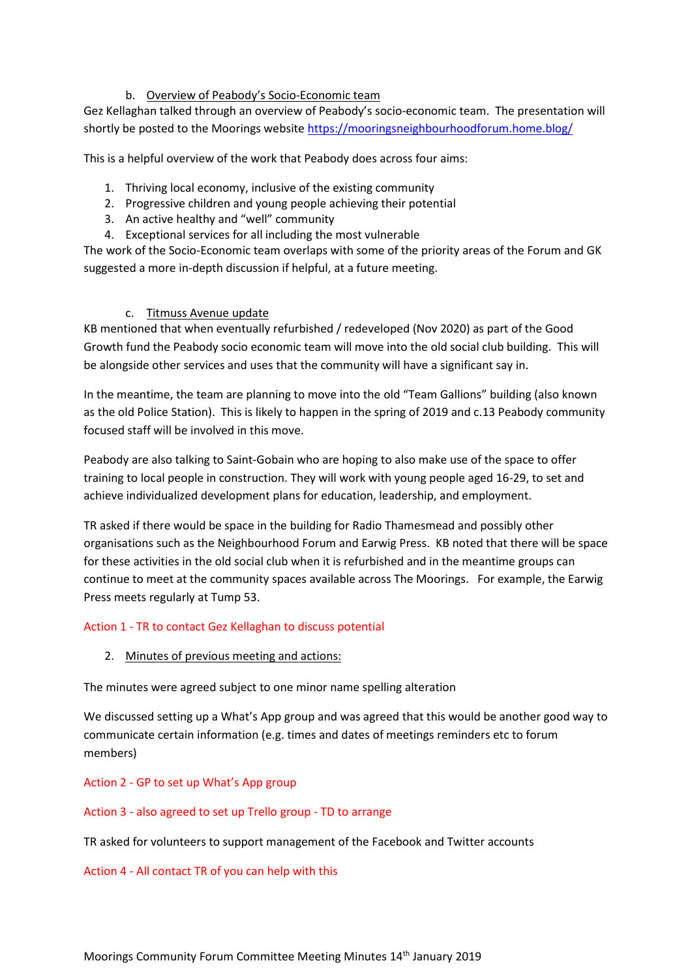## b. Overview of Peabody's Socio-Economic team

Gez Kellaghan talked through an overview of Peabody's socio-economic team. The presentation will shortly be posted to the Moorings websit[e https://mooringsneighbourhoodforum.home.blog/](https://mooringsneighbourhoodforum.home.blog/)

This is a helpful overview of the work that Peabody does across four aims:

- 1. Thriving local economy, inclusive of the existing community
- 2. Progressive children and young people achieving their potential
- 3. An active healthy and "well" community
- 4. Exceptional services for all including the most vulnerable

The work of the Socio-Economic team overlaps with some of the priority areas of the Forum and GK suggested a more in-depth discussion if helpful, at a future meeting.

#### c. Titmuss Avenue update

KB mentioned that when eventually refurbished / redeveloped (Nov 2020) as part of the Good Growth fund the Peabody socio economic team will move into the old social club building. This will be alongside other services and uses that the community will have a significant say in.

In the meantime, the team are planning to move into the old "Team Gallions" building (also known as the old Police Station). This is likely to happen in the spring of 2019 and c.13 Peabody community focused staff will be involved in this move.

Peabody are also talking to Saint-Gobain who are hoping to also make use of the space to offer training to local people in construction. They will work with young people aged 16-29, to set and achieve individualized development plans for education, leadership, and employment.

TR asked if there would be space in the building for Radio Thamesmead and possibly other organisations such as the Neighbourhood Forum and Earwig Press. KB noted that there will be space for these activities in the old social club when it is refurbished and in the meantime groups can continue to meet at the community spaces available across The Moorings. For example, the Earwig Press meets regularly at Tump 53.

#### Action 1 - TR to contact Gez Kellaghan to discuss potential

2. Minutes of previous meeting and actions:

The minutes were agreed subject to one minor name spelling alteration

We discussed setting up a What's App group and was agreed that this would be another good way to communicate certain information (e.g. times and dates of meetings reminders etc to forum members)

#### Action 2 - GP to set up What's App group

#### Action 3 - also agreed to set up Trello group - TD to arrange

TR asked for volunteers to support management of the Facebook and Twitter accounts

#### Action 4 - All contact TR of you can help with this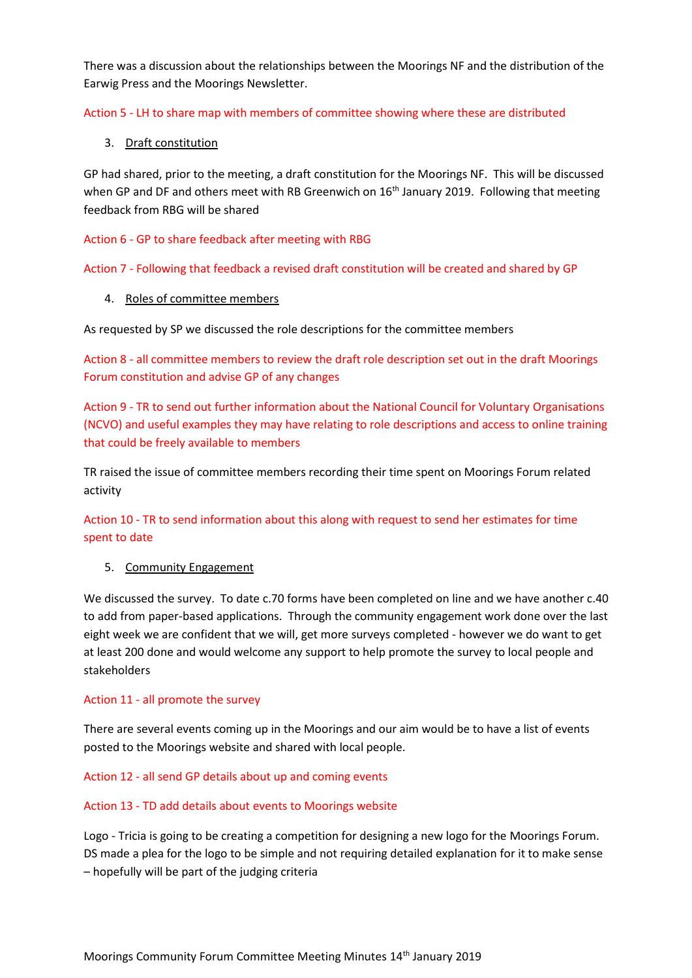There was a discussion about the relationships between the Moorings NF and the distribution of the Earwig Press and the Moorings Newsletter.

Action 5 - LH to share map with members of committee showing where these are distributed

3. Draft constitution

GP had shared, prior to the meeting, a draft constitution for the Moorings NF. This will be discussed when GP and DF and others meet with RB Greenwich on 16<sup>th</sup> January 2019. Following that meeting feedback from RBG will be shared

Action 6 - GP to share feedback after meeting with RBG

Action 7 - Following that feedback a revised draft constitution will be created and shared by GP

4. Roles of committee members

As requested by SP we discussed the role descriptions for the committee members

Action 8 - all committee members to review the draft role description set out in the draft Moorings Forum constitution and advise GP of any changes

Action 9 - TR to send out further information about the National Council for Voluntary Organisations (NCVO) and useful examples they may have relating to role descriptions and access to online training that could be freely available to members

TR raised the issue of committee members recording their time spent on Moorings Forum related activity

Action 10 - TR to send information about this along with request to send her estimates for time spent to date

#### 5. Community Engagement

We discussed the survey. To date c.70 forms have been completed on line and we have another c.40 to add from paper-based applications. Through the community engagement work done over the last eight week we are confident that we will, get more surveys completed - however we do want to get at least 200 done and would welcome any support to help promote the survey to local people and stakeholders

#### Action 11 - all promote the survey

There are several events coming up in the Moorings and our aim would be to have a list of events posted to the Moorings website and shared with local people.

Action 12 - all send GP details about up and coming events

#### Action 13 - TD add details about events to Moorings website

Logo - Tricia is going to be creating a competition for designing a new logo for the Moorings Forum. DS made a plea for the logo to be simple and not requiring detailed explanation for it to make sense – hopefully will be part of the judging criteria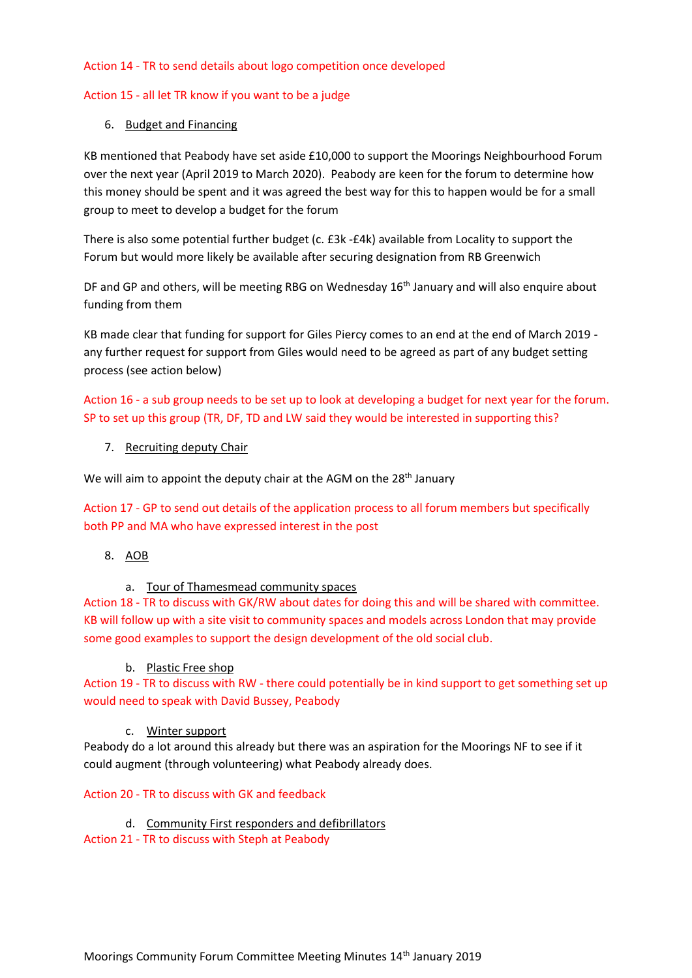### Action 14 - TR to send details about logo competition once developed

## Action 15 - all let TR know if you want to be a judge

## 6. Budget and Financing

KB mentioned that Peabody have set aside £10,000 to support the Moorings Neighbourhood Forum over the next year (April 2019 to March 2020). Peabody are keen for the forum to determine how this money should be spent and it was agreed the best way for this to happen would be for a small group to meet to develop a budget for the forum

There is also some potential further budget (c. £3k -£4k) available from Locality to support the Forum but would more likely be available after securing designation from RB Greenwich

DF and GP and others, will be meeting RBG on Wednesday 16<sup>th</sup> January and will also enquire about funding from them

KB made clear that funding for support for Giles Piercy comes to an end at the end of March 2019 any further request for support from Giles would need to be agreed as part of any budget setting process (see action below)

Action 16 - a sub group needs to be set up to look at developing a budget for next year for the forum. SP to set up this group (TR, DF, TD and LW said they would be interested in supporting this?

7. Recruiting deputy Chair

We will aim to appoint the deputy chair at the AGM on the 28<sup>th</sup> January

Action 17 - GP to send out details of the application process to all forum members but specifically both PP and MA who have expressed interest in the post

- 8. AOB
	- a. Tour of Thamesmead community spaces

Action 18 - TR to discuss with GK/RW about dates for doing this and will be shared with committee. KB will follow up with a site visit to community spaces and models across London that may provide some good examples to support the design development of the old social club.

b. Plastic Free shop

Action 19 - TR to discuss with RW - there could potentially be in kind support to get something set up would need to speak with David Bussey, Peabody

#### c. Winter support

Peabody do a lot around this already but there was an aspiration for the Moorings NF to see if it could augment (through volunteering) what Peabody already does.

### Action 20 - TR to discuss with GK and feedback

d. Community First responders and defibrillators

Action 21 - TR to discuss with Steph at Peabody